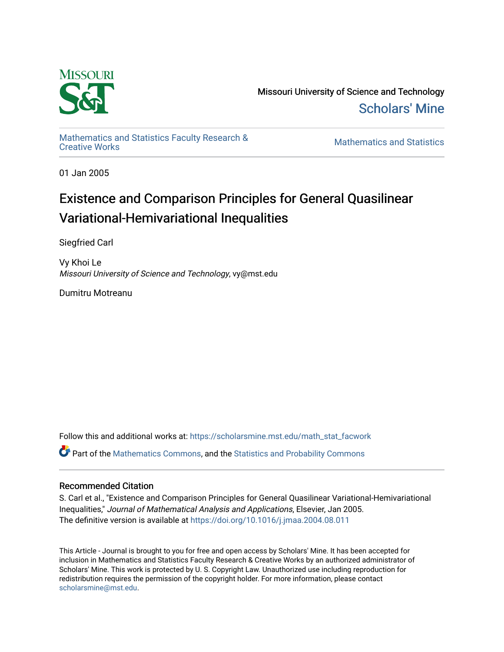

Missouri University of Science and Technology [Scholars' Mine](https://scholarsmine.mst.edu/) 

[Mathematics and Statistics Faculty Research &](https://scholarsmine.mst.edu/math_stat_facwork) 

**Mathematics and Statistics** 

01 Jan 2005

# Existence and Comparison Principles for General Quasilinear Variational-Hemivariational Inequalities

Siegfried Carl

Vy Khoi Le Missouri University of Science and Technology, vy@mst.edu

Dumitru Motreanu

Follow this and additional works at: [https://scholarsmine.mst.edu/math\\_stat\\_facwork](https://scholarsmine.mst.edu/math_stat_facwork?utm_source=scholarsmine.mst.edu%2Fmath_stat_facwork%2F668&utm_medium=PDF&utm_campaign=PDFCoverPages) Part of the [Mathematics Commons](http://network.bepress.com/hgg/discipline/174?utm_source=scholarsmine.mst.edu%2Fmath_stat_facwork%2F668&utm_medium=PDF&utm_campaign=PDFCoverPages), and the [Statistics and Probability Commons](http://network.bepress.com/hgg/discipline/208?utm_source=scholarsmine.mst.edu%2Fmath_stat_facwork%2F668&utm_medium=PDF&utm_campaign=PDFCoverPages)

### Recommended Citation

S. Carl et al., "Existence and Comparison Principles for General Quasilinear Variational-Hemivariational Inequalities," Journal of Mathematical Analysis and Applications, Elsevier, Jan 2005. The definitive version is available at <https://doi.org/10.1016/j.jmaa.2004.08.011>

This Article - Journal is brought to you for free and open access by Scholars' Mine. It has been accepted for inclusion in Mathematics and Statistics Faculty Research & Creative Works by an authorized administrator of Scholars' Mine. This work is protected by U. S. Copyright Law. Unauthorized use including reproduction for redistribution requires the permission of the copyright holder. For more information, please contact [scholarsmine@mst.edu.](mailto:scholarsmine@mst.edu)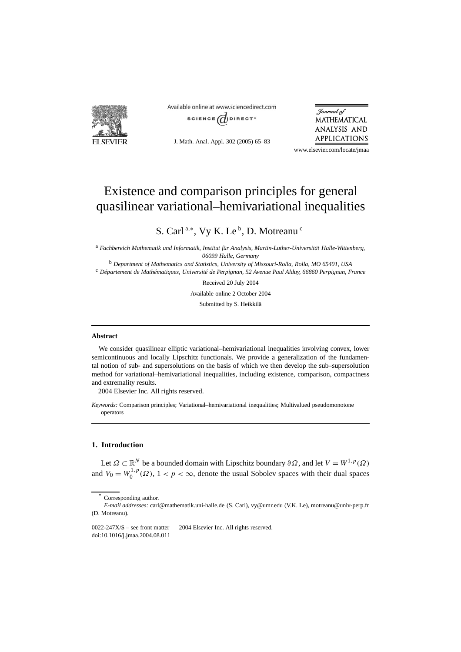

Available online at www.sciencedirect.com SCIENCE  $\overrightarrow{a}$  DIRECT<sup>®</sup>

J. Math. Anal. Appl. 302 (2005) 65–83

Journal of **MATHEMATICAL** ANALYSIS AND APPLICATIONS

www.elsevier.com/locate/jmaa

## Existence and comparison principles for general quasilinear variational–hemivariational inequalities

S. Carl<sup>a,∗</sup>, Vy K. Le<sup>b</sup>, D. Motreanu<sup>c</sup>

<sup>a</sup> *Fachbereich Mathematik und Informatik, Institut für Analysis, Martin-Luther-Universität Halle-Wittenberg, 06099 Halle, Germany*

<sup>b</sup> *Department of Mathematics and Statistics, University of Missouri-Rolla, Rolla, MO 65401, USA* <sup>c</sup> *Département de Mathématiques, Université de Perpignan, 52 Avenue Paul Alduy, 66860 Perpignan, France*

Received 20 July 2004

Available online 2 October 2004

Submitted by S. Heikkilä

#### **Abstract**

We consider quasilinear elliptic variational–hemivariational inequalities involving convex, lower semicontinuous and locally Lipschitz functionals. We provide a generalization of the fundamental notion of sub- and supersolutions on the basis of which we then develop the sub–supersolution method for variational–hemivariational inequalities, including existence, comparison, compactness and extremality results.

2004 Elsevier Inc. All rights reserved.

*Keywords:* Comparison principles; Variational–hemivariational inequalities; Multivalued pseudomonotone operators

#### **1. Introduction**

Let  $\Omega \subset \mathbb{R}^N$  be a bounded domain with Lipschitz boundary  $\partial \Omega$ , and let  $V = W^{1,p}(\Omega)$ and  $V_0 = W_0^{1,p}(\Omega)$ ,  $1 < p < \infty$ , denote the usual Sobolev spaces with their dual spaces

Corresponding author.

*E-mail addresses:* carl@mathematik.uni-halle.de (S. Carl), vy@umr.edu (V.K. Le), motreanu@univ-perp.fr (D. Motreanu).

 $0022-247X/\$$  – see front matter  $\degree$  2004 Elsevier Inc. All rights reserved. doi:10.1016/j.jmaa.2004.08.011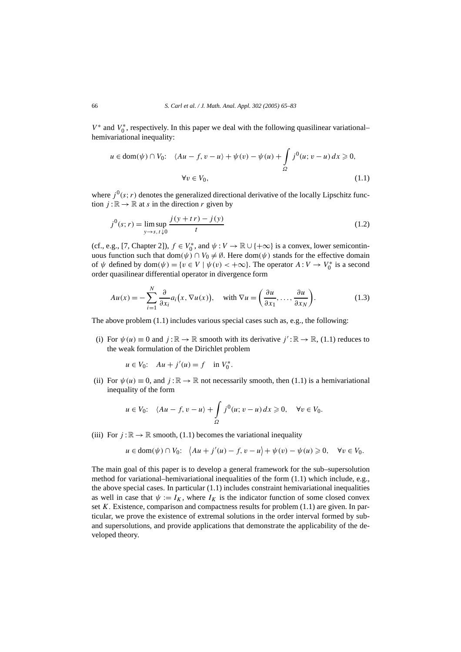*V*<sup>\*</sup> and *V*<sub>0</sub><sup>\*</sup>, respectively. In this paper we deal with the following quasilinear variational– hemivariational inequality:

$$
u \in \text{dom}(\psi) \cap V_0: \quad \langle Au - f, v - u \rangle + \psi(v) - \psi(u) + \int_{\Omega} j^0(u; v - u) \, dx \ge 0,
$$
  

$$
\forall v \in V_0,
$$
 (1.1)

where  $j^0(s; r)$  denotes the generalized directional derivative of the locally Lipschitz function  $j : \mathbb{R} \to \mathbb{R}$  at *s* in the direction *r* given by

$$
j^{0}(s;r) = \lim_{y \to s, t \downarrow 0} \frac{j(y + tr) - j(y)}{t}
$$
\n(1.2)

(cf., e.g., [7, Chapter 2]),  $f \in V_0^*$ , and  $\psi : V \to \mathbb{R} \cup \{+\infty\}$  is a convex, lower semicontinuous function such that  $dom(\psi) \cap V_0 \neq \emptyset$ . Here  $dom(\psi)$  stands for the effective domain of  $\psi$  defined by dom $(\psi) = \{v \in V \mid \psi(v) < +\infty\}$ . The operator  $A: V \to V_0^*$  is a second order quasilinear differential operator in divergence form

$$
Au(x) = -\sum_{i=1}^{N} \frac{\partial}{\partial x_i} a_i(x, \nabla u(x)), \quad \text{with } \nabla u = \left(\frac{\partial u}{\partial x_1}, \dots, \frac{\partial u}{\partial x_N}\right). \tag{1.3}
$$

The above problem (1.1) includes various special cases such as, e.g., the following:

(i) For  $\psi(u) \equiv 0$  and  $j : \mathbb{R} \to \mathbb{R}$  smooth with its derivative  $j' : \mathbb{R} \to \mathbb{R}$ , (1.1) reduces to the weak formulation of the Dirichlet problem

 $u \in V_0$ :  $Au + j'(u) = f$  in  $V_0^*$ .

(ii) For  $\psi(u) \equiv 0$ , and  $j : \mathbb{R} \to \mathbb{R}$  not necessarily smooth, then (1.1) is a hemivariational inequality of the form

$$
u \in V_0: \quad \langle Au - f, v - u \rangle + \int_{\Omega} j^0(u; v - u) \, dx \geqslant 0, \quad \forall v \in V_0.
$$

(iii) For  $j : \mathbb{R} \to \mathbb{R}$  smooth, (1.1) becomes the variational inequality

$$
u\in \text{dom}(\psi)\cap V_0\text{: }\ \ \left\langle Au+j'(u)-f,v-u\right\rangle+\psi(v)-\psi(u)\geqslant 0,\quad \forall v\in V_0.
$$

The main goal of this paper is to develop a general framework for the sub–supersolution method for variational–hemivariational inequalities of the form (1.1) which include, e.g., the above special cases. In particular  $(1.1)$  includes constraint hemivariational inequalities as well in case that  $\psi := I_K$ , where  $I_K$  is the indicator function of some closed convex set *K*. Existence, comparison and compactness results for problem (1.1) are given. In particular, we prove the existence of extremal solutions in the order interval formed by suband supersolutions, and provide applications that demonstrate the applicability of the developed theory.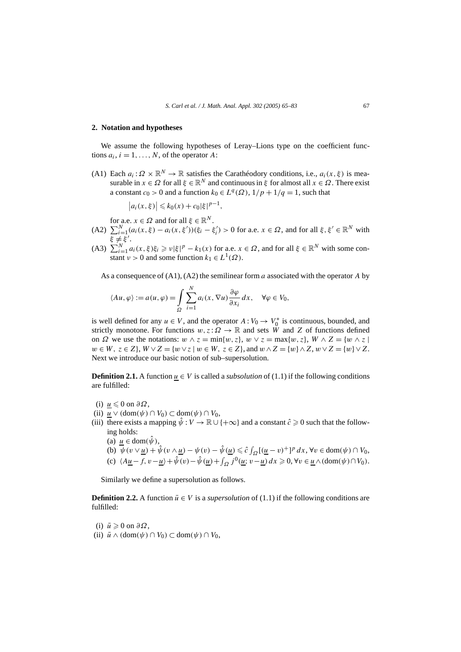#### **2. Notation and hypotheses**

We assume the following hypotheses of Leray–Lions type on the coefficient functions  $a_i$ ,  $i = 1, \ldots, N$ , of the operator A:

(A1) Each  $a_i : \Omega \times \mathbb{R}^N \to \mathbb{R}$  satisfies the Carathéodory conditions, i.e.,  $a_i(x, \xi)$  is measurable in  $x \in \Omega$  for all  $\xi \in \mathbb{R}^N$  and continuous in  $\xi$  for almost all  $x \in \Omega$ . There exist a constant  $c_0 > 0$  and a function  $k_0 \in L^q(\Omega)$ ,  $1/p + 1/q = 1$ , such that

$$
|a_i(x,\xi)| \le k_0(x) + c_0 |\xi|^{p-1},
$$

for a.e.  $x \in \Omega$  and for all  $\xi \in \mathbb{R}^N$ .

- $(A2)$   $\sum_{i=1}^{N} (a_i(x, \xi) a_i(x, \xi'))(\xi_i \xi'_i) > 0$  for a.e.  $x \in \Omega$ , and for all  $\xi, \xi' \in \mathbb{R}^N$  with <del>*ξ* ≠ξ'</del>.
- (A3)  $\sum_{i=1}^{N} a_i(x, \xi) \xi_i \geq v |\xi|^p k_1(x)$  for a.e.  $x \in \Omega$ , and for all  $\xi \in \mathbb{R}^N$  with some constant  $\nu > 0$  and some function  $k_1 \in L^1(\Omega)$ .

As a consequence of (A1), (A2) the semilinear form *a* associated with the operator *A* by

$$
\langle Au, \varphi \rangle := a(u, \varphi) = \int_{\Omega} \sum_{i=1}^{N} a_i(x, \nabla u) \frac{\partial \varphi}{\partial x_i} dx, \quad \forall \varphi \in V_0,
$$

is well defined for any  $u \in V$ , and the operator  $A: V_0 \to V_0^*$  is continuous, bounded, and strictly monotone. For functions  $w, z: \Omega \to \mathbb{R}$  and sets W and Z of functions defined on *Ω* we use the notations:  $w \wedge z = \min\{w, z\}$ ,  $w \vee z = \max\{w, z\}$ ,  $W \wedge Z = \{w \wedge z \mid w \in Z\}$  $w \in W$ ,  $z \in Z$ ,  $W \vee Z = \{w \vee z \mid w \in W$ ,  $z \in Z$ , and  $w \wedge Z = \{w \} \wedge Z$ ,  $w \vee Z = \{w \} \vee Z$ . Next we introduce our basic notion of sub–supersolution.

**Definition 2.1.** A function  $u \in V$  is called a *subsolution* of (1.1) if the following conditions are fulfilled:

- (i)  $u$  ≤ 0 on  $\partial Ω$ ,</u>
- (ii)  $u \vee (\text{dom}(\psi) \cap V_0) \subset \text{dom}(\psi) \cap V_0$ ,
- (iii) there exists a mapping  $\hat{\psi}: V \to \mathbb{R} \cup \{+\infty\}$  and a constant  $\hat{c} \geq 0$  such that the following holds:
	- (a)  $u \in \text{dom}(\hat{\psi})$ ,
	- (b)  $\overline{\psi}(v \vee \underline{u}) + \hat{\psi}(v \wedge \underline{u}) \psi(v) \hat{\psi}(\underline{u}) \leq \hat{c} \int_{\Omega} [(\underline{u} v)^+]^p dx$ ,  $\forall v \in \text{dom}(\psi) \cap V_0$ , (c)  $\langle A \underline{u} - f, v - \underline{u} \rangle + \hat{\psi}(v) - \hat{\psi}(\underline{u}) + \int_{\Omega} j^0(\underline{u}; v - \underline{u}) dx \geq 0, \forall v \in \underline{u} \wedge (\text{dom}(\psi) \cap V_0).$

Similarly we define a supersolution as follows.

**Definition 2.2.** A function  $\bar{u} \in V$  is a *supersolution* of (1.1) if the following conditions are fulfilled:

(i)  $\bar{u} \ge 0$  on  $\partial \Omega$ , (ii)  $\bar{u} \wedge (\text{dom}(\psi) \cap V_0) \subset \text{dom}(\psi) \cap V_0$ ,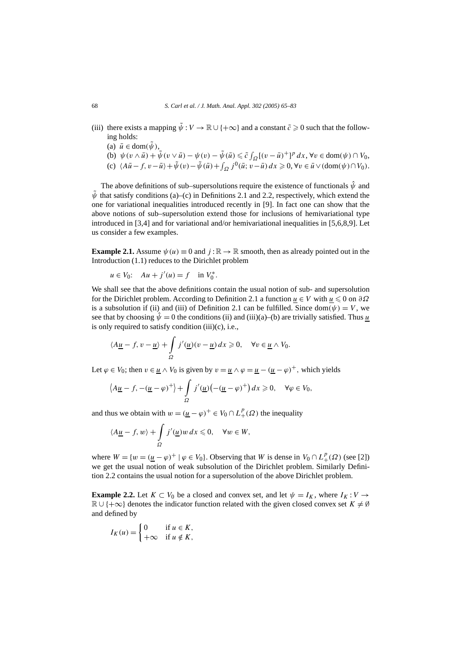- (iii) there exists a mapping  $\tilde{\psi}: V \to \mathbb{R} \cup \{+\infty\}$  and a constant  $\tilde{c} \geq 0$  such that the following holds:
	- (a)  $\bar{u} \in \text{dom}(\tilde{\psi}),$
	- (b)  $\psi(v \wedge \bar{u}) + \tilde{\psi}(v \vee \bar{u}) \psi(v) \tilde{\psi}(\bar{u}) \leq \tilde{c} \int_{\Omega} [(v \bar{u})^+]^p dx$ ,  $\forall v \in \text{dom}(\psi) \cap V_0$ ,
	- (c)  $\langle A\overline{u}-f, v-\overline{u}\rangle+\tilde{\psi}(v)-\tilde{\psi}(\overline{u})+\int_{\Omega}j^{0}(\overline{u}; v-\overline{u}) dx\geqslant 0, \forall v\in\overline{u}\vee(\text{dom}(\psi)\cap V_0).$

The above definitions of sub–supersolutions require the existence of functionals  $\hat{\psi}$  and  $\bar{\psi}$  that satisfy conditions (a)–(c) in Definitions 2.1 and 2.2, respectively, which extend the one for variational inequalities introduced recently in [9]. In fact one can show that the above notions of sub–supersolution extend those for inclusions of hemivariational type introduced in [3,4] and for variational and/or hemivariational inequalities in [5,6,8,9]. Let us consider a few examples.

**Example 2.1.** Assume  $\psi(u) \equiv 0$  and  $j : \mathbb{R} \to \mathbb{R}$  smooth, then as already pointed out in the Introduction (1.1) reduces to the Dirichlet problem

$$
u \in V_0
$$
:  $Au + j'(u) = f$  in  $V_0^*$ .

We shall see that the above definitions contain the usual notion of sub- and supersolution for the Dirichlet problem. According to Definition 2.1 a function <u>*u*</u> ∈ *V* with <u>*u*</u> ≤ 0 on ∂Ω is a subsolution if (ii) and (iii) of Definition 2.1 can be fulfilled. Since dom $(\psi) = V$ , we see that by choosing  $\hat{\psi} = 0$  the conditions (ii) and (iii)(a)–(b) are trivially satisfied. Thus <u>u</u> is only required to satisfy condition  $(iii)(c)$ , i.e.,

$$
\langle A\underline{u}-f, v-\underline{u}\rangle + \int_{\Omega} j'(\underline{u})(v-\underline{u}) dx \geqslant 0, \quad \forall v \in \underline{u} \wedge V_0.
$$

Let  $\varphi \in V_0$ ; then  $v \in \underline{u} \wedge V_0$  is given by  $v = \underline{u} \wedge \varphi = \underline{u} - (\underline{u} - \varphi)^+$ , which yields

$$
\left\langle A\underline{u}-f, -(\underline{u}-\varphi)^+\right\rangle + \int_{\Omega} j'(\underline{u})\left(-(\underline{u}-\varphi)^+\right)dx \geq 0, \quad \forall \varphi \in V_0,
$$

and thus we obtain with  $w = (\underline{u} - \varphi)^+ \in V_0 \cap L^p_+(\Omega)$  the inequality

$$
\langle A\underline{u}-f, w\rangle + \int_{\Omega} j'(\underline{u})w dx \leqslant 0, \quad \forall w \in W,
$$

where  $W = \{w = (\underline{u} - \varphi)^+ | \varphi \in V_0\}$ . Observing that *W* is dense in  $V_0 \cap L^p_+(\Omega)$  (see [2]) we get the usual notion of weak subsolution of the Dirichlet problem. Similarly Definition 2.2 contains the usual notion for a supersolution of the above Dirichlet problem.

**Example 2.2.** Let  $K \subset V_0$  be a closed and convex set, and let  $\psi = I_K$ , where  $I_K : V \to V_0$  $\mathbb{R} \cup \{+\infty\}$  denotes the indicator function related with the given closed convex set  $K \neq \emptyset$ and defined by

$$
I_K(u) = \begin{cases} 0 & \text{if } u \in K, \\ +\infty & \text{if } u \notin K, \end{cases}
$$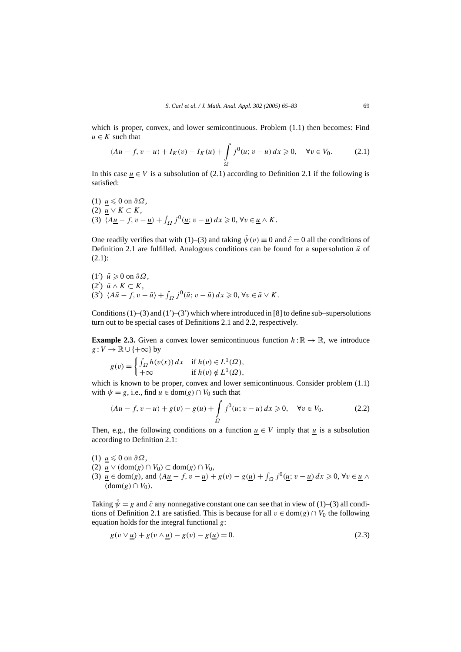which is proper, convex, and lower semicontinuous. Problem (1.1) then becomes: Find  $u \in K$  such that

$$
\langle Au - f, v - u \rangle + I_K(v) - I_K(u) + \int_{\Omega} j^0(u; v - u) dx \geqslant 0, \quad \forall v \in V_0.
$$
 (2.1)

In this case  $u \in V$  is a subsolution of (2.1) according to Definition 2.1 if the following is satisfied:

(1) 
$$
\underline{u} \leq 0
$$
 on  $\partial \Omega$ ,  
\n(2)  $\underline{u} \vee K \subset K$ ,  
\n(3)  $\langle A \underline{u} - f, v - \underline{u} \rangle + \int_{\Omega} j^0(\underline{u}; v - \underline{u}) dx \geq 0, \forall v \in \underline{u} \wedge K$ .

One readily verifies that with (1)–(3) and taking  $\hat{\psi}(v) \equiv 0$  and  $\hat{c} = 0$  all the conditions of Definition 2.1 are fulfilled. Analogous conditions can be found for a supersolution  $\bar{u}$  of (2.1):

 $(1')$   $\bar{u}$  ≥ 0 on  $\partial\Omega$ ,  $(2')$   $\bar{u} \wedge K \subset K$ ,  $(3')$   $\langle A\bar{u}-f, v-\bar{u}\rangle + \int_{\Omega} j^{0}(\bar{u}; v-\bar{u}) dx \geq 0, \forall v \in \bar{u} \vee K.$ 

Conditions  $(1)$ – $(3)$  and  $(1')$ – $(3')$  which where introduced in [8] to define sub–supersolutions turn out to be special cases of Definitions 2.1 and 2.2, respectively.

**Example 2.3.** Given a convex lower semicontinuous function  $h : \mathbb{R} \to \mathbb{R}$ , we introduce  $g: V \to \mathbb{R} \cup \{+\infty\}$  by

$$
g(v) = \begin{cases} \int_{\Omega} h(v(x)) dx & \text{if } h(v) \in L^1(\Omega), \\ +\infty & \text{if } h(v) \notin L^1(\Omega), \end{cases}
$$

which is known to be proper, convex and lower semicontinuous. Consider problem (1.1) with  $\psi = g$ , i.e., find  $u \in \text{dom}(g) \cap V_0$  such that

$$
\langle Au - f, v - u \rangle + g(v) - g(u) + \int_{\Omega} j^0(u; v - u) \, dx \ge 0, \quad \forall v \in V_0. \tag{2.2}
$$

Then, e.g., the following conditions on a function  $u \in V$  imply that *u* is a subsolution according to Definition 2.1:

- (1)  $u$  ≤ 0 on  $\partial Ω$ ,</u>
- (2) *u* ∨ *(*dom*(g)* ∩ *V*0*)* ⊂ dom*(g)* ∩ *V*0,
- (3)  $\underline{u} \in \text{dom}(g)$ , and  $\langle A\underline{u} f, v \underline{u} \rangle + g(v) g(\underline{u}) + \int_{\Omega} j^0(\underline{u}; v \underline{u}) dx \ge 0$ ,  $\forall v \in \underline{u} \land$  $(dom(g) ∩ V<sub>0</sub>)$ .

Taking  $\hat{\psi} = g$  and  $\hat{c}$  any nonnegative constant one can see that in view of (1)–(3) all conditions of Definition 2.1 are satisfied. This is because for all  $v \in \text{dom}(g) \cap V_0$  the following equation holds for the integral functional *g*:

$$
g(v \vee \underline{u}) + g(v \wedge \underline{u}) - g(v) - g(\underline{u}) = 0. \tag{2.3}
$$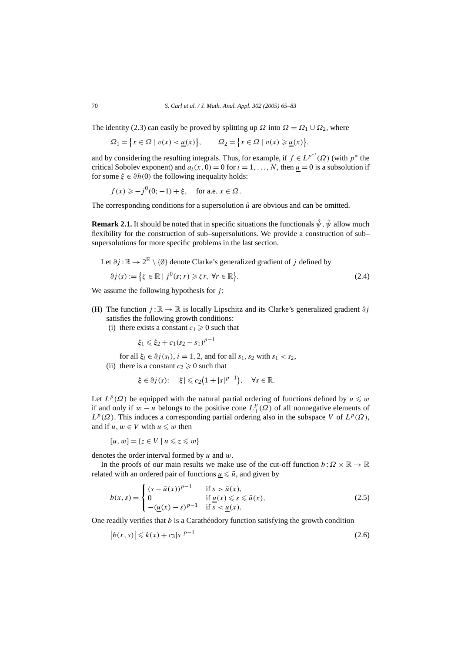The identity (2.3) can easily be proved by splitting up  $\Omega$  into  $\Omega = \Omega_1 \cup \Omega_2$ , where

$$
\Omega_1 = \left\{ x \in \Omega \mid v(x) < \underline{u}(x) \right\}, \qquad \Omega_2 = \left\{ x \in \Omega \mid v(x) \geq \underline{u}(x) \right\},
$$

and by considering the resulting integrals. Thus, for example, if  $f \in L^{p^{*'}(Q)}$  (with  $p^*$  the critical Sobolev exponent) and  $a_i(x, 0) = 0$  for  $i = 1, \ldots, N$ , then  $u = 0$  is a subsolution if for some  $\xi \in \partial h(0)$  the following inequality holds:

 $f(x) \ge -j^{0}(0; -1) + \xi$ , for a.e.  $x \in \Omega$ .

The corresponding conditions for a supersolution  $\bar{u}$  are obvious and can be omitted.

**Remark 2.1.** It should be noted that in specific situations the functionals  $\hat{\psi}$ ,  $\tilde{\psi}$  allow much flexibility for the construction of sub–supersolutions. We provide a construction of sub– supersolutions for more specific problems in the last section.

Let 
$$
\partial j : \mathbb{R} \to 2^{\mathbb{R}} \setminus \{\emptyset\}
$$
 denote Clarke's generalized gradient of j defined by  
\n
$$
\partial j(s) := \left\{ \zeta \in \mathbb{R} \mid j^0(s; r) \geq \zeta r, \ \forall r \in \mathbb{R} \right\}. \tag{2.4}
$$

We assume the following hypothesis for *j* :

- (H) The function  $j : \mathbb{R} \to \mathbb{R}$  is locally Lipschitz and its Clarke's generalized gradient  $\partial j$ satisfies the following growth conditions:
	- (i) there exists a constant  $c_1 \geq 0$  such that

$$
\xi_1 \leqslant \xi_2 + c_1(s_2 - s_1)^{p-1}
$$

for all  $\xi_i \in \partial j(s_i)$ ,  $i = 1, 2$ , and for all  $s_1, s_2$  with  $s_1 < s_2$ ,

(ii) there is a constant  $c_2 \geq 0$  such that

$$
\xi \in \partial j(s); \quad |\xi| \leq c_2(1+|s|^{p-1}), \quad \forall s \in \mathbb{R}.
$$

Let  $L^p(\Omega)$  be equipped with the natural partial ordering of functions defined by  $u \leq w$ if and only if *w* − *u* belongs to the positive cone  $L_+^p(\Omega)$  of all nonnegative elements of  $L^p(\Omega)$ . This induces a corresponding partial ordering also in the subspace *V* of  $L^p(\Omega)$ , and if  $u, w \in V$  with  $u \leq w$  then

$$
[u, w] = \{ z \in V \mid u \leq z \leq w \}
$$

denotes the order interval formed by *u* and *w*.

In the proofs of our main results we make use of the cut-off function  $b : \Omega \times \mathbb{R} \to \mathbb{R}$ related with an ordered pair of functions  $\underline{u} \leq \overline{u}$ , and given by

$$
b(x,s) = \begin{cases} (s - \bar{u}(x))^{p-1} & \text{if } s > \bar{u}(x), \\ 0 & \text{if } \underline{u}(x) \le s \le \bar{u}(x), \\ -(\underline{u}(x) - s)^{p-1} & \text{if } s < \underline{u}(x). \end{cases}
$$
(2.5)

One readily verifies that *b* is a Carathéodory function satisfying the growth condition

$$
|b(x,s)| \le k(x) + c_3|s|^{p-1}
$$
\n(2.6)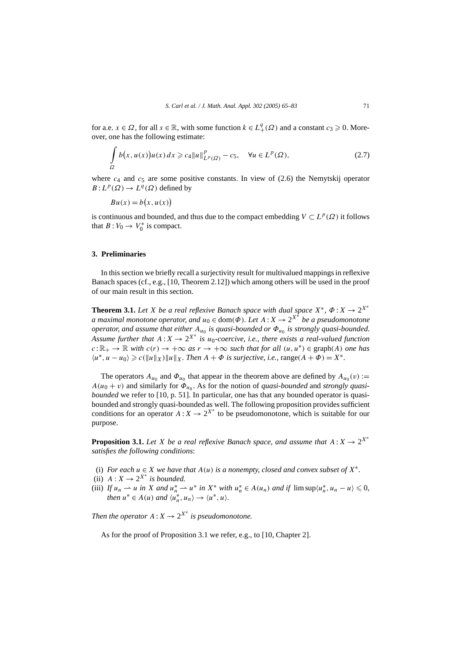for a.e.  $x \in \Omega$ , for all  $s \in \mathbb{R}$ , with some function  $k \in L^q_+(\Omega)$  and a constant  $c_3 \geq 0$ . Moreover, one has the following estimate:

$$
\int_{\Omega} b(x, u(x))u(x) dx \geqslant c_4 \|u\|_{L^p(\Omega)}^p - c_5, \quad \forall u \in L^p(\Omega), \tag{2.7}
$$

where  $c_4$  and  $c_5$  are some positive constants. In view of  $(2.6)$  the Nemytskij operator  $B: L^p(\Omega) \to L^q(\Omega)$  defined by

$$
Bu(x) = b(x, u(x))
$$

is continuous and bounded, and thus due to the compact embedding  $V \subset L^p(\Omega)$  it follows that  $B: V_0 \to V_0^*$  is compact.

#### **3. Preliminaries**

In this section we briefly recall a surjectivity result for multivalued mappings in reflexive Banach spaces (cf., e.g., [10, Theorem 2.12]) which among others will be used in the proof of our main result in this section.

**Theorem 3.1.** *Let X be a real reflexive Banach space with dual space*  $X^*$ ,  $\Phi$  :  $X \to 2^{X^*}$ *a maximal monotone operator, and*  $u_0 \in \text{dom}(\Phi)$ *. Let*  $A: X \to 2^{X^*}$  be a pseudomonotone *operator, and assume that either*  $A_{u_0}$  *is quasi-bounded or*  $Φ_{u_0}$  *is strongly quasi-bounded. Assume further that*  $A: X \to 2^{X^*}$  *is u*<sub>0</sub>*-coercive, i.e., there exists a real-valued function*  $c: \mathbb{R}_+ \to \mathbb{R}$  *with*  $c(r) \to +\infty$  *as*  $r \to +\infty$  *such that for all*  $(u, u^*) \in \text{graph}(A)$  *one has*  $\langle u^*, u - u_0 \rangle \geqslant c(\Vert u \Vert_X) \Vert u \Vert_X$ . Then  $A + \Phi$  is surjective, i.e., range $(A + \Phi) = X^*$ .

The operators  $A_{u_0}$  and  $\Phi_{u_0}$  that appear in the theorem above are defined by  $A_{u_0}(v)$  :=  $A(u_0 + v)$  and similarly for  $\Phi_{u_0}$ . As for the notion of *quasi-bounded* and *strongly quasibounded* we refer to [10, p. 51]. In particular, one has that any bounded operator is quasibounded and strongly quasi-bounded as well. The following proposition provides sufficient conditions for an operator  $A: X \to 2^{X^*}$  to be pseudomonotone, which is suitable for our purpose.

**Proposition 3.1.** *Let X be a real reflexive Banach space, and assume that*  $A: X \rightarrow 2^{X*}$ *satisfies the following conditions*:

- (i) *For each*  $u \in X$  *we have that*  $A(u)$  *is a nonempty, closed and convex subset of*  $X^*$ .
- (ii)  $A: X \rightarrow 2^{X^*}$  *is bounded.*
- (iii) If  $u_n \rightharpoonup u$  in X and  $u_n^* \rightharpoonup u^*$  in  $X^*$  with  $u_n^* \in A(u_n)$  and if  $\limsup \langle u_n^*, u_n u \rangle \leq 0$ , *then*  $u^* \in A(u)$  *and*  $\langle u_n^*, u_n \rangle \to \langle u^*, u \rangle$ *.*

*Then the operator*  $A: X \to 2^{X^*}$  *is pseudomonotone.* 

As for the proof of Proposition 3.1 we refer, e.g., to [10, Chapter 2].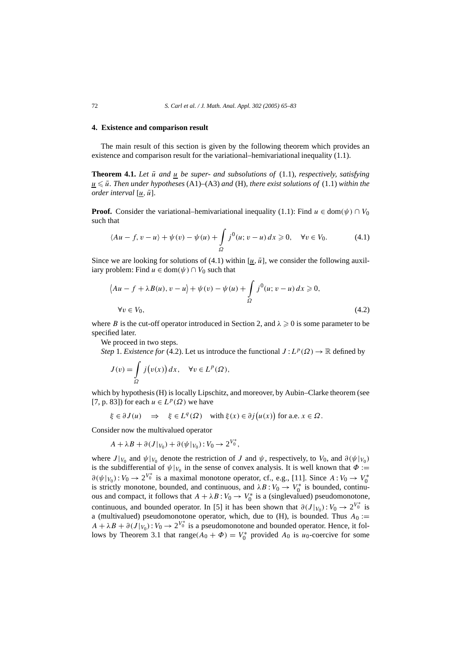#### **4. Existence and comparison result**

The main result of this section is given by the following theorem which provides an existence and comparison result for the variational–hemivariational inequality (1.1).

**Theorem 4.1.** Let  $\bar{u}$  and  $u$  be super- and subsolutions of  $(1.1)$ , respectively, satisfying  $u \leq u$ . Then under hypotheses (A1)–(A3) and (H), there exist solutions of (1.1) within the *order interval*  $[u, \bar{u}]$ *.* 

**Proof.** Consider the variational–hemivariational inequality (1.1): Find  $u \in \text{dom}(\psi) \cap V_0$ such that

$$
\langle Au - f, v - u \rangle + \psi(v) - \psi(u) + \int_{\Omega} j^0(u; v - u) dx \ge 0, \quad \forall v \in V_0.
$$
 (4.1)

Since we are looking for solutions of (4.1) within  $[u, \bar{u}]$ , we consider the following auxiliary problem: Find  $u \in \text{dom}(\psi) \cap V_0$  such that

$$
\langle Au - f + \lambda B(u), v - u \rangle + \psi(v) - \psi(u) + \int_{\Omega} j^0(u; v - u) dx \ge 0,
$$
  
\n
$$
\forall v \in V_0,
$$
\n(4.2)

where *B* is the cut-off operator introduced in Section 2, and  $\lambda \geq 0$  is some parameter to be specified later.

We proceed in two steps.

*Step* 1. *Existence for* (4.2). Let us introduce the functional  $J: L^p(\Omega) \to \mathbb{R}$  defined by

$$
J(v) = \int_{\Omega} j(v(x)) dx, \quad \forall v \in L^{p}(\Omega),
$$

which by hypothesis (H) is locally Lipschitz, and moreover, by Aubin–Clarke theorem (see [7, p. 83]) for each  $u \in L^p(\Omega)$  we have

$$
\xi \in \partial J(u) \implies \xi \in L^q(\Omega) \text{ with } \xi(x) \in \partial j(u(x)) \text{ for a.e. } x \in \Omega.
$$

Consider now the multivalued operator

$$
A + \lambda B + \partial(J|_{V_0}) + \partial(\psi|_{V_0}) : V_0 \to 2^{V_0^*},
$$

where  $J|_{V_0}$  and  $\psi|_{V_0}$  denote the restriction of *J* and  $\psi$ , respectively, to  $V_0$ , and  $\partial(\psi|_{V_0})$ is the subdifferential of  $\psi|_{V_0}$  in the sense of convex analysis. It is well known that  $\Phi :=$  $\partial(\psi|_{V_0}) : V_0 \to 2^{V_0^*}$  is a maximal monotone operator, cf., e.g., [11]. Since  $A : V_0 \to V_0^*$ is strictly monotone, bounded, and continuous, and  $\lambda B : V_0 \to V_0^*$  is bounded, continuous and compact, it follows that  $A + \lambda B : V_0 \to V_0^*$  is a (singlevalued) pseudomonotone, continuous, and bounded operator. In [5] it has been shown that  $\partial(J|_{V_0})$ :  $V_0 \to 2^{V_0^*}$  is a (multivalued) pseudomonotone operator, which, due to  $(H)$ , is bounded. Thus  $A_0 :=$  $A + \lambda B + \partial(J|_{V_0}): V_0 \to 2^{V_0^*}$  is a pseudomonotone and bounded operator. Hence, it follows by Theorem 3.1 that  $\text{range}(A_0 + \Phi) = V_0^*$  provided  $A_0$  is  $u_0$ -coercive for some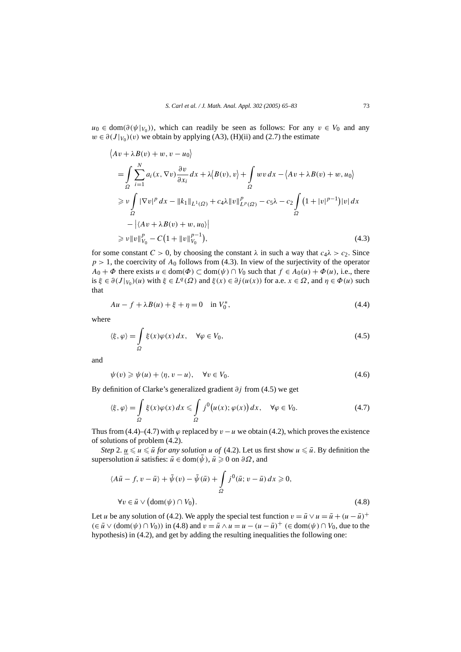*u*<sub>0</sub> ∈ dom( $\partial(\psi|_{V_0})$ ), which can readily be seen as follows: For any *v* ∈ *V*<sub>0</sub> and any  $w \in \partial(J|_{V_0})(v)$  we obtain by applying (A3), (H)(ii) and (2.7) the estimate

$$
\langle Av + \lambda B(v) + w, v - u_0 \rangle
$$
  
=  $\int_{\Omega} \sum_{i=1}^{N} a_i(x, \nabla v) \frac{\partial v}{\partial x_i} dx + \lambda \langle B(v), v \rangle + \int_{\Omega} wv dx - \langle Av + \lambda B(v) + w, u_0 \rangle$   
 $\geq v \int_{\Omega} |\nabla v|^p dx - ||k_1||_{L^1(\Omega)} + c_4 \lambda ||v||_{L^p(\Omega)}^p - c_5 \lambda - c_2 \int_{\Omega} (1 + |v|^{p-1}) |v| dx$   
 $- |\langle Av + \lambda B(v) + w, u_0 \rangle|$   
 $\geq v ||v||_{V_0}^p - C(1 + ||v||_{V_0}^{p-1}),$  (4.3)

for some constant  $C > 0$ , by choosing the constant  $\lambda$  in such a way that  $c_4\lambda > c_2$ . Since  $p > 1$ , the coercivity of  $A_0$  follows from (4.3). In view of the surjectivity of the operator *A*<sup>0</sup> + *Φ* there exists *u* ∈ dom( $\Phi$ ) ⊂ dom( $\psi$ ) ∩ *V*<sup>0</sup> such that *f* ∈ *A*<sup>0</sup>(*u*) +  $\Phi$ (*u*), i.e., there is  $\xi \in \partial(J|_{V_0})(u)$  with  $\xi \in L^q(\Omega)$  and  $\xi(x) \in \partial j(u(x))$  for a.e.  $x \in \Omega$ , and  $\eta \in \Phi(u)$  such that

$$
Au - f + \lambda B(u) + \xi + \eta = 0 \quad \text{in } V_0^*,
$$
\n(4.4)

where

 $\overline{1}$ 

$$
\langle \xi, \varphi \rangle = \int_{\Omega} \xi(x) \varphi(x) dx, \quad \forall \varphi \in V_0,
$$
\n(4.5)

and

$$
\psi(v) \geqslant \psi(u) + \langle \eta, v - u \rangle, \quad \forall v \in V_0.
$$
\n
$$
(4.6)
$$

By definition of Clarke's generalized gradient *∂j* from (4.5) we get

$$
\langle \xi, \varphi \rangle = \int_{\Omega} \xi(x) \varphi(x) dx \leq \int_{\Omega} j^{0} (u(x); \varphi(x)) dx, \quad \forall \varphi \in V_0.
$$
 (4.7)

Thus from (4.4)–(4.7) with  $\varphi$  replaced by  $v - u$  we obtain (4.2), which proves the existence of solutions of problem (4.2).

*Step* 2.  $\underline{u} \leq u \leq \overline{u}$  *for any solution u of* (4.2). Let us first show  $u \leq \overline{u}$ . By definition the supersolution  $\bar{u}$  satisfies:  $\bar{u} \in \text{dom}(\bar{\psi})$ ,  $\bar{u} \geq 0$  on  $\partial \Omega$ , and

$$
\langle A\bar{u} - f, v - \bar{u} \rangle + \tilde{\psi}(v) - \tilde{\psi}(\bar{u}) + \int_{\Omega} j^{0}(\bar{u}; v - \bar{u}) dx \ge 0,
$$
  
\n
$$
\forall v \in \bar{u} \lor (\text{dom}(\psi) \cap V_0).
$$
\n(4.8)

Let *u* be any solution of (4.2). We apply the special test function  $v = \bar{u} \vee u = \bar{u} + (u - \bar{u})^+$ *(*∈  $\bar{u}$  ∨ (dom( $\psi$ ) ∩  $V_0$ )) in (4.8) and  $v = \bar{u} \wedge u = u - (u - \bar{u})^+$  (∈ dom( $\psi$ ) ∩  $V_0$ , due to the hypothesis) in (4.2), and get by adding the resulting inequalities the following one: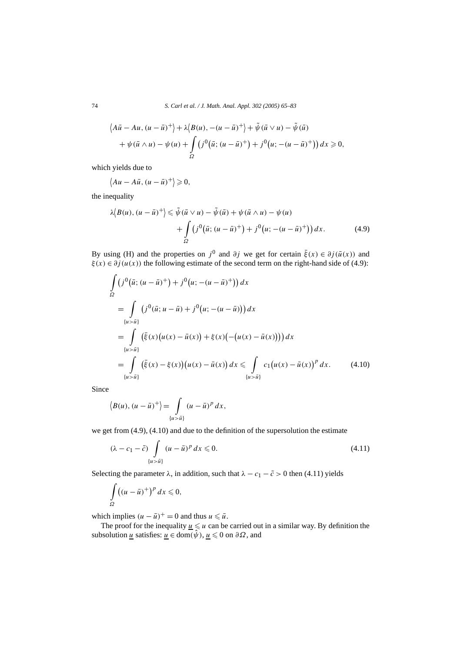74 *S. Carl et al. / J. Math. Anal. Appl. 302 (2005) 65–83*

$$
\langle A\overline{u} - Au, (u - \overline{u})^+ \rangle + \lambda \langle B(u), -(u - \overline{u})^+ \rangle + \tilde{\psi}(\overline{u} \vee u) - \tilde{\psi}(\overline{u})
$$
  
+  $\psi(\overline{u} \wedge u) - \psi(u) + \int_{\Omega} (j^0(\overline{u}; (u - \overline{u})^+) + j^0(u; -(u - \overline{u})^+)) dx \ge 0,$ 

which yields due to

$$
\langle Au - A\bar{u}, (u - \bar{u})^+ \rangle \geq 0,
$$

the inequality

$$
\lambda \langle B(u), (u - \bar{u})^+ \rangle \leq \tilde{\psi}(\bar{u} \vee u) - \tilde{\psi}(\bar{u}) + \psi(\bar{u} \wedge u) - \psi(u) + \int_{\Omega} \left( j^0(\bar{u}; (u - \bar{u})^+) + j^0(u; -(u - \bar{u})^+) \right) dx.
$$
 (4.9)

By using (H) and the properties on  $j^0$  and  $\partial j$  we get for certain  $\bar{\xi}(x) \in \partial j(\bar{u}(x))$  and  $\xi(x) \in \partial j(u(x))$  the following estimate of the second term on the right-hand side of (4.9):

$$
\int_{\Omega} (j^{0}(\bar{u}; (u - \bar{u})^{+}) + j^{0}(u; -(u - \bar{u})^{+})) dx
$$
\n
$$
= \int_{\{u > \bar{u}\}} (j^{0}(\bar{u}; u - \bar{u}) + j^{0}(u; -(u - \bar{u}))) dx
$$
\n
$$
= \int_{\{u > \bar{u}\}} (\bar{\xi}(x)(u(x) - \bar{u}(x)) + \xi(x)(-(u(x) - \bar{u}(x)))) dx
$$
\n
$$
= \int_{\{u > \bar{u}\}} (\bar{\xi}(x) - \xi(x))(u(x) - \bar{u}(x)) dx \leq \int_{\{u > \bar{u}\}} c_{1}(u(x) - \bar{u}(x))^{p} dx.
$$
\n(4.10)

Since

$$
\langle B(u), (u-\bar{u})^+\rangle = \int\limits_{\{u>\bar{u}\}} (u-\bar{u})^p dx,
$$

we get from (4.9), (4.10) and due to the definition of the supersolution the estimate

$$
(\lambda - c_1 - \tilde{c}) \int_{\{u > \tilde{u}\}} (u - \tilde{u})^p dx \leq 0.
$$
 (4.11)

Selecting the parameter  $\lambda$ , in addition, such that  $\lambda - c_1 - \tilde{c} > 0$  then (4.11) yields

$$
\int_{\Omega} \left( (u - \bar{u})^+ \right)^p dx \leq 0,
$$

which implies  $(u - \bar{u})^+ = 0$  and thus  $u \leq \bar{u}$ .

The proof for the inequality  $\underline{u} \leq u$  can be carried out in a similar way. By definition the subsolution <u>*u*</u> satisfies:  $\overline{u} \in \text{dom}(\hat{\psi}), \underline{u} \leq 0 \text{ on } \partial \Omega$ , and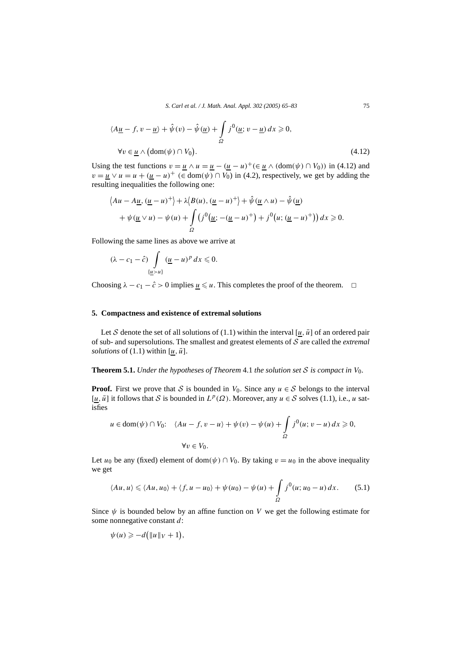$$
\langle A\underline{u} - f, v - \underline{u} \rangle + \hat{\psi}(v) - \hat{\psi}(\underline{u}) + \int_{\Omega} j^0(\underline{u}; v - \underline{u}) dx \ge 0,
$$
  
\n
$$
\forall v \in \underline{u} \land (\text{dom}(\psi) \cap V_0).
$$
\n(4.12)

Using the test functions  $v = u \wedge u = u - (u - u)^{+} (\in u \wedge (dom(\psi) \cap V_0))$  in (4.12) and  $v = u \vee u = u + (u - u)^+$  ( $\in$  dom $(\psi) \cap V_0$ ) in (4.2), respectively, we get by adding the resulting inequalities the following one:

$$
\langle Au - A\underline{u}, (\underline{u} - u)^+ \rangle + \lambda \langle B(u), (\underline{u} - u)^+ \rangle + \hat{\psi}(\underline{u} \wedge u) - \hat{\psi}(\underline{u})
$$
  
+ 
$$
\psi(\underline{u} \vee u) - \psi(u) + \int_{\Omega} \left( j^0(\underline{u}; -(\underline{u} - u)^+) + j^0(u; (\underline{u} - u)^+) \right) dx \ge 0.
$$

Following the same lines as above we arrive at

$$
(\lambda - c_1 - \hat{c}) \int \limits_{\{\underline{u} > u\}} (\underline{u} - u)^p \, dx \leqslant 0.
$$

Choosing  $\lambda - c_1 - \hat{c} > 0$  implies <u> $u \leq u$ </u>. This completes the proof of the theorem.  $\Box$ 

#### **5. Compactness and existence of extremal solutions**

Let S denote the set of all solutions of (1.1) within the interval  $[\underline{u}, \overline{u}]$  of an ordered pair of sub- and supersolutions. The smallest and greatest elements of S are called the *extremal solutions* of (1.1) within  $[\underline{u}, \overline{u}]$ .

**Theorem 5.1.** *Under the hypotheses of Theorem* 4.1 *the solution set* S *is compact in*  $V_0$ *.* 

**Proof.** First we prove that S is bounded in  $V_0$ . Since any  $u \in S$  belongs to the interval  $[\underline{u}, \overline{u}]$  it follows that S is bounded in  $L^p(\Omega)$ . Moreover, any  $u \in S$  solves (1.1), i.e., *u* satisfies

$$
u \in \text{dom}(\psi) \cap V_0: \quad \langle Au - f, v - u \rangle + \psi(v) - \psi(u) + \int_{\Omega} j^0(u; v - u) \, dx \ge 0,
$$
  

$$
\forall v \in V_0.
$$

Let *u*<sub>0</sub> be any (fixed) element of dom $(\psi) \cap V_0$ . By taking  $v = u_0$  in the above inequality we get

$$
\langle Au, u \rangle \leq \langle Au, u_0 \rangle + \langle f, u - u_0 \rangle + \psi(u_0) - \psi(u) + \int_{\Omega} j^0(u; u_0 - u) \, dx. \tag{5.1}
$$

Since  $\psi$  is bounded below by an affine function on *V* we get the following estimate for some nonnegative constant *d*:

$$
\psi(u) \geqslant -d\big(\|u\|_V+1\big),\,
$$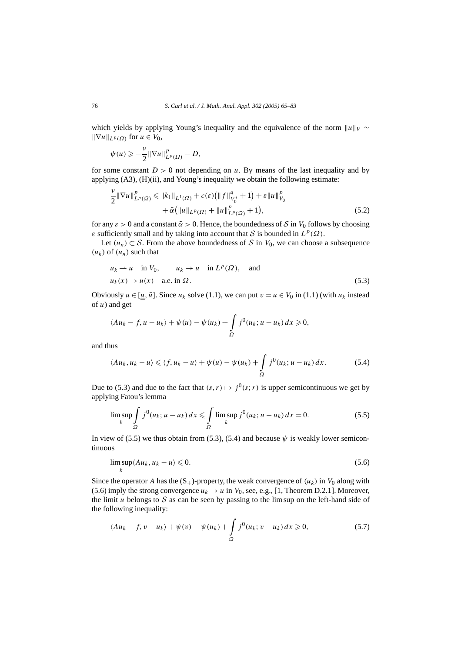which yields by applying Young's inequality and the equivalence of the norm  $||u||_V \sim$  $\|\nabla u\|_{L^p(\Omega)}$  for *u* ∈ *V*<sub>0</sub>,

$$
\psi(u) \geqslant -\frac{\nu}{2} \|\nabla u\|_{L^p(\Omega)}^p - D,
$$

for some constant  $D > 0$  not depending on *u*. By means of the last inequality and by applying (A3), (H)(ii), and Young's inequality we obtain the following estimate:

$$
\frac{\nu}{2} \|\nabla u\|_{L^{p}(\Omega)}^{p} \leq \|k_{1}\|_{L^{1}(\Omega)} + c(\varepsilon) \left( \|f\|_{V_{0}^{*}}^{q} + 1 \right) + \varepsilon \|u\|_{V_{0}}^{p} + \tilde{\alpha} \left( \|u\|_{L^{p}(\Omega)} + \|u\|_{L^{p}(\Omega)}^{p} + 1 \right),
$$
\n(5.2)

for any  $\varepsilon > 0$  and a constant  $\tilde{\alpha} > 0$ . Hence, the boundedness of S in  $V_0$  follows by choosing *ε* sufficiently small and by taking into account that *S* is bounded in  $L^p(\Omega)$ .

Let  $(u_n) \subset S$ . From the above boundedness of S in  $V_0$ , we can choose a subsequence  $(u_k)$  of  $(u_n)$  such that

$$
u_k \rightharpoonup u
$$
 in  $V_0$ ,  $u_k \rightharpoonup u$  in  $L^p(\Omega)$ , and  
\n $u_k(x) \rightharpoonup u(x)$  a.e. in  $\Omega$ . (5.3)

Obviously  $u \in [u, \bar{u}]$ . Since  $u_k$  solve (1.1), we can put  $v = u \in V_0$  in (1.1) (with  $u_k$  instead of *u*) and get

$$
\langle Au_k - f, u - u_k \rangle + \psi(u) - \psi(u_k) + \int_{\Omega} j^0(u_k; u - u_k) dx \geq 0,
$$

and thus

$$
\langle Au_k, u_k - u \rangle \leqslant \langle f, u_k - u \rangle + \psi(u) - \psi(u_k) + \int_{\Omega} j^0(u_k; u - u_k) \, dx. \tag{5.4}
$$

Due to (5.3) and due to the fact that  $(s, r) \mapsto j^0(s; r)$  is upper semicontinuous we get by applying Fatou's lemma

$$
\limsup_{k} \int_{\Omega} j^{0}(u_{k}; u - u_{k}) dx \leq \int_{\Omega} \limsup_{k} j^{0}(u_{k}; u - u_{k}) dx = 0.
$$
 (5.5)

In view of (5.5) we thus obtain from (5.3), (5.4) and because  $\psi$  is weakly lower semicontinuous

$$
\limsup_{k} \langle Au_k, u_k - u \rangle \leqslant 0. \tag{5.6}
$$

Since the operator *A* has the  $(S_+)$ -property, the weak convergence of  $(u_k)$  in  $V_0$  along with (5.6) imply the strong convergence  $u_k \to u$  in  $V_0$ , see, e.g., [1, Theorem D.2.1]. Moreover, the limit  $u$  belongs to  $S$  as can be seen by passing to the lim sup on the left-hand side of the following inequality:

$$
\langle Au_k - f, v - u_k \rangle + \psi(v) - \psi(u_k) + \int_{\Omega} j^0(u_k; v - u_k) dx \geqslant 0,
$$
\n
$$
(5.7)
$$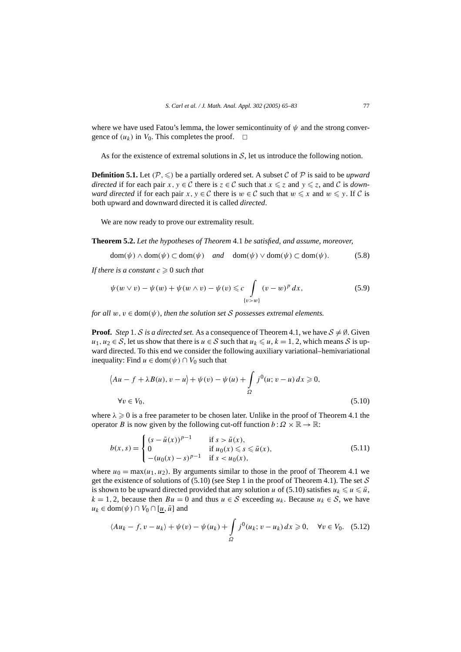where we have used Fatou's lemma, the lower semicontinuity of  $\psi$  and the strong convergence of  $(u_k)$  in  $V_0$ . This completes the proof.  $\Box$ 

As for the existence of extremal solutions in  $S$ , let us introduce the following notion.

**Definition 5.1.** Let  $(P, \leq)$  be a partially ordered set. A subset C of P is said to be *upward directed* if for each pair *x*,  $y \in C$  there is  $z \in C$  such that  $x \le z$  and  $y \le z$ , and C is *downward directed* if for each pair *x*,  $y \in C$  there is  $w \in C$  such that  $w \leq x$  and  $w \leq y$ . If C is both upward and downward directed it is called *directed*.

We are now ready to prove our extremality result.

**Theorem 5.2.** *Let the hypotheses of Theorem* 4.1 *be satisfied, and assume, moreover,*

 $dom(\psi) \wedge dom(\psi) \subset dom(\psi)$  *and*  $dom(\psi) \vee dom(\psi) \subset dom(\psi)$ . (5.8)

*If there is a constant*  $c \geq 0$  *such that* 

$$
\psi(w \vee v) - \psi(w) + \psi(w \wedge v) - \psi(v) \leqslant c \int_{\{v>w\}} (v-w)^p \, dx,\tag{5.9}
$$

*for all*  $w, v \in \text{dom}(\psi)$ *, then the solution set* S *possesses extremal elements.* 

**Proof.** *Step* 1. S *is a directed set*. As a consequence of Theorem 4.1, we have  $S \neq \emptyset$ . Given *u*<sub>1</sub>*, u*<sub>2</sub> ∈ S, let us show that there is *u* ∈ S such that *u*<sub>*k*</sub> ≤ *u*, *k* = 1, 2, which means S is upward directed. To this end we consider the following auxiliary variational–hemivariational inequality: Find  $u \in \text{dom}(\psi) \cap V_0$  such that

$$
\langle Au - f + \lambda B(u), v - u \rangle + \psi(v) - \psi(u) + \int_{\Omega} j^0(u; v - u) dx \ge 0,
$$
  
\n
$$
\forall v \in V_0,
$$
\n(5.10)

where  $\lambda \geq 0$  is a free parameter to be chosen later. Unlike in the proof of Theorem 4.1 the operator *B* is now given by the following cut-off function  $b : \Omega \times \mathbb{R} \to \mathbb{R}$ :

$$
b(x,s) = \begin{cases} (s - \bar{u}(x))^{p-1} & \text{if } s > \bar{u}(x), \\ 0 & \text{if } u_0(x) \le s \le \bar{u}(x), \\ -(u_0(x) - s)^{p-1} & \text{if } s < u_0(x), \end{cases}
$$
(5.11)

where  $u_0 = \max(u_1, u_2)$ . By arguments similar to those in the proof of Theorem 4.1 we get the existence of solutions of  $(5.10)$  (see Step 1 in the proof of Theorem 4.1). The set S is shown to be upward directed provided that any solution *u* of (5.10) satisfies  $u_k \leq u \leq \bar{u}$ ,  $k = 1, 2$ , because then  $Bu = 0$  and thus  $u \in S$  exceeding  $u_k$ . Because  $u_k \in S$ , we have  $u_k \in \text{dom}(\psi) \cap V_0 \cap [\underline{u}, \overline{u}]$  and

$$
\langle Au_k - f, v - u_k \rangle + \psi(v) - \psi(u_k) + \int_{\Omega} j^0(u_k; v - u_k) dx \ge 0, \quad \forall v \in V_0. \quad (5.12)
$$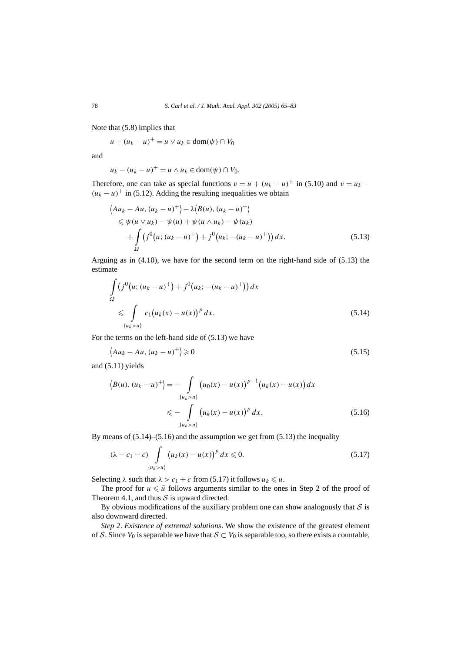Note that (5.8) implies that

*u* +  $(u_k - u)^+$  = *u* ∨ *u<sub>k</sub>* ∈ dom( $\psi$ ) ∩ *V*<sub>0</sub>

and

*u<sub>k</sub>* −  $(u_k - u)^+$  =  $u \wedge u_k$  ∈ dom $(\psi) \cap V_0$ .

Therefore, one can take as special functions  $v = u + (u_k - u)^+$  in (5.10) and  $v = u_k (u_k - u)^+$  in (5.12). Adding the resulting inequalities we obtain

$$
\langle Au_k - Au, (u_k - u)^+ \rangle - \lambda \langle B(u), (u_k - u)^+ \rangle
$$
  
\$\le \psi(u \vee u\_k) - \psi(u) + \psi(u \wedge u\_k) - \psi(u\_k)\$  
+ 
$$
\int_{\Omega} (j^0(u; (u_k - u)^+) + j^0(u_k; -(u_k - u)^+)) dx. \tag{5.13}
$$

Arguing as in (4.10), we have for the second term on the right-hand side of (5.13) the estimate

$$
\int_{\Omega} (j^{0}(u; (u_{k} - u)^{+}) + j^{0}(u_{k}; -(u_{k} - u)^{+})) dx
$$
\n
$$
\leqslant \int_{\{u_{k} > u\}} c_{1}(u_{k}(x) - u(x))^{p} dx.
$$
\n(5.14)

For the terms on the left-hand side of (5.13) we have

$$
\langle Au_k - Au, (u_k - u)^+ \rangle \ge 0 \tag{5.15}
$$

and (5.11) yields

$$
\langle B(u), (u_k - u)^+ \rangle = - \int_{\{u_k > u\}} (u_0(x) - u(x))^{p-1} (u_k(x) - u(x)) dx
$$
  

$$
\leq - \int_{\{u_k > u\}} (u_k(x) - u(x))^p dx.
$$
 (5.16)

By means of (5.14)–(5.16) and the assumption we get from (5.13) the inequality

$$
(\lambda - c_1 - c) \int_{\{u_k > u\}} \left( u_k(x) - u(x) \right)^p dx \leq 0.
$$
 (5.17)

Selecting  $\lambda$  such that  $\lambda > c_1 + c$  from (5.17) it follows  $u_k \leq u$ .

The proof for  $u \leq \bar{u}$  follows arguments similar to the ones in Step 2 of the proof of Theorem 4.1, and thus  $S$  is upward directed.

By obvious modifications of the auxiliary problem one can show analogously that  $S$  is also downward directed.

*Step* 2. *Existence of extremal solutions*. We show the existence of the greatest element of S. Since  $V_0$  is separable we have that  $S \subset V_0$  is separable too, so there exists a countable,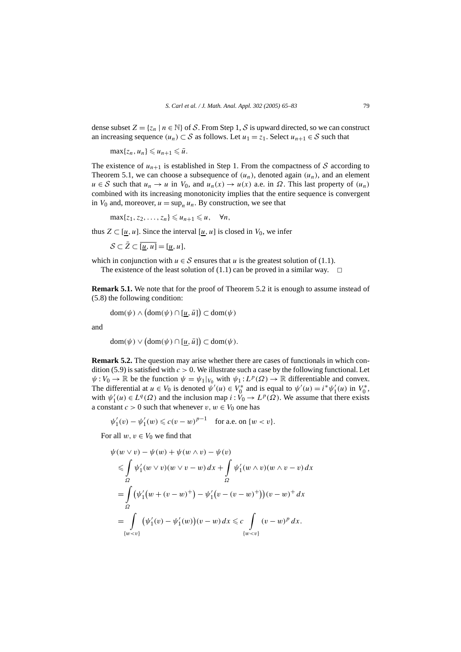dense subset  $Z = \{z_n \mid n \in \mathbb{N}\}\$  of S. From Step 1, S is upward directed, so we can construct an increasing sequence  $(u_n) \subset S$  as follows. Let  $u_1 = z_1$ . Select  $u_{n+1} \in S$  such that

 $\max\{z_n, u_n\} \leq u_{n+1} \leq \bar{u}.$ 

The existence of  $u_{n+1}$  is established in Step 1. From the compactness of S according to Theorem 5.1, we can choose a subsequence of  $(u_n)$ , denoted again  $(u_n)$ , and an element  $u \in S$  such that  $u_n \to u$  in  $V_0$ , and  $u_n(x) \to u(x)$  a.e. in  $\Omega$ . This last property of  $(u_n)$ combined with its increasing monotonicity implies that the entire sequence is convergent in  $V_0$  and, moreover,  $u = \sup_n u_n$ . By construction, we see that

 $\max\{z_1, z_2, \ldots, z_n\} \leq u_{n+1} \leq u, \quad \forall n,$ 

thus  $Z \subset [u, u]$ . Since the interval  $[u, u]$  is closed in  $V_0$ , we infer

 $S \subset \overline{Z} \subset \overline{[u,u]} = [u,u],$ 

which in conjunction with  $u \in S$  ensures that *u* is the greatest solution of (1.1).

The existence of the least solution of (1.1) can be proved in a similar way.  $\Box$ 

**Remark 5.1.** We note that for the proof of Theorem 5.2 it is enough to assume instead of (5.8) the following condition:

 $dom(\psi) \wedge (dom(\psi) \cap [\underline{u}, \overline{u}]) \subset dom(\psi)$ 

and

 $dom(\psi) \vee (dom(\psi) \cap [\underline{u}, \overline{u}]) \subset dom(\psi).$ 

**Remark 5.2.** The question may arise whether there are cases of functionals in which condition (5.9) is satisfied with  $c > 0$ . We illustrate such a case by the following functional. Let  $\psi: V_0 \to \mathbb{R}$  be the function  $\psi = \psi_1|_{V_0}$  with  $\psi_1: L^p(\Omega) \to \mathbb{R}$  differentiable and convex. The differential at  $u \in V_0$  is denoted  $\psi'(u) \in V_0^*$  and is equal to  $\psi'(u) = i^* \psi'_1(u)$  in  $V_0^*$ , with  $\psi'_1(u) \in L^q(\Omega)$  and the inclusion map  $i : V_0 \to L^p(\Omega)$ . We assume that there exists a constant  $c > 0$  such that whenever  $v, w \in V_0$  one has

 $\psi'_1(v) - \psi'_1(w) \leqslant c(v - w)^{p-1}$  for a.e. on {*w* < *v*}.

For all  $w, v \in V_0$  we find that

$$
\psi(w \lor v) - \psi(w) + \psi(w \land v) - \psi(v)
$$
\n
$$
\leq \int_{\Omega} \psi'_1(w \lor v)(w \lor v - w) dx + \int_{\Omega} \psi'_1(w \land v)(w \land v - v) dx
$$
\n
$$
= \int_{\Omega} (\psi'_1(w + (v - w)^+) - \psi'_1(v - (v - w)^+))(v - w)^+ dx
$$
\n
$$
= \int_{\{w < v\}} (\psi'_1(v) - \psi'_1(w))(v - w) dx \leq c \int_{\{w < v\}} (v - w)^p dx.
$$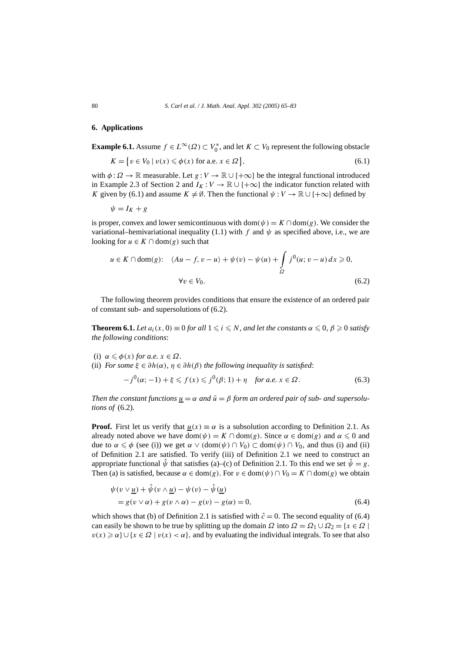#### **6. Applications**

**Example 6.1.** Assume  $f \in L^{\infty}(\Omega) \subset V_0^*$ , and let  $K \subset V_0$  represent the following obstacle

$$
K = \{ v \in V_0 \mid v(x) \leqslant \phi(x) \text{ for a.e. } x \in \Omega \},\tag{6.1}
$$

with  $\phi$ :  $\Omega \to \mathbb{R}$  measurable. Let  $g: V \to \mathbb{R} \cup \{+\infty\}$  be the integral functional introduced in Example 2.3 of Section 2 and  $I_K: V \to \mathbb{R} \cup \{+\infty\}$  the indicator function related with *K* given by (6.1) and assume  $K \neq \emptyset$ . Then the functional  $\psi : V \to \mathbb{R} \cup \{+\infty\}$  defined by

 $\psi = I_K + g$ 

is proper, convex and lower semicontinuous with dom $(\psi) = K \cap \text{dom}(g)$ . We consider the variational–hemivariational inequality (1.1) with *f* and  $\psi$  as specified above, i.e., we are looking for  $u \in K \cap \text{dom}(g)$  such that

$$
u \in K \cap \text{dom}(g): \quad \langle Au - f, v - u \rangle + \psi(v) - \psi(u) + \int_{\Omega} j^0(u; v - u) \, dx \ge 0,
$$
\n
$$
\forall v \in V_0. \tag{6.2}
$$

The following theorem provides conditions that ensure the existence of an ordered pair of constant sub- and supersolutions of (6.2).

**Theorem 6.1.** *Let*  $a_i(x, 0) \equiv 0$  *for all*  $1 \leq i \leq N$ *, and let the constants*  $\alpha \leq 0$ *,*  $\beta \geq 0$  *satisfy the following conditions*:

- (i)  $\alpha \leq \phi(x)$  *for a.e.*  $x \in \Omega$ *.*
- (ii) *For some*  $\xi \in \partial h(\alpha)$ *,*  $\eta \in \partial h(\beta)$  *the following inequality is satisfied:*

$$
-j^{0}(\alpha;-1) + \xi \leq f(x) \leq j^{0}(\beta;1) + \eta \quad \text{for a.e. } x \in \Omega. \tag{6.3}
$$

*Then the constant functions*  $u = \alpha$  *and*  $\bar{u} = \beta$  *form an ordered pair of sub- and supersolutions of* (6.2)*.*

**Proof.** First let us verify that  $u(x) \equiv \alpha$  is a subsolution according to Definition 2.1. As already noted above we have dom $(\psi) = K \cap \text{dom}(g)$ . Since  $\alpha \in \text{dom}(g)$  and  $\alpha \leq 0$  and due to  $\alpha \leq \phi$  (see (i)) we get  $\alpha \vee (\text{dom}(\psi) \cap V_0) \subset \text{dom}(\psi) \cap V_0$ , and thus (i) and (ii) of Definition 2.1 are satisfied. To verify (iii) of Definition 2.1 we need to construct an appropriate functional  $\hat{\psi}$  that satisfies (a)–(c) of Definition 2.1. To this end we set  $\hat{\psi} = g$ . Then (a) is satisfied, because  $\alpha \in \text{dom}(g)$ . For  $v \in \text{dom}(\psi) \cap V_0 = K \cap \text{dom}(g)$  we obtain

$$
\psi(v \vee \underline{u}) + \hat{\psi}(v \wedge \underline{u}) - \psi(v) - \hat{\psi}(\underline{u})
$$
  
=  $g(v \vee \alpha) + g(v \wedge \alpha) - g(v) - g(\alpha) = 0,$  (6.4)

which shows that (b) of Definition 2.1 is satisfied with  $\hat{c} = 0$ . The second equality of (6.4) can easily be shown to be true by splitting up the domain  $\Omega$  into  $\Omega = \Omega_1 \cup \Omega_2 = \{x \in \Omega \mid$  $v(x) \geq \alpha$   $\cup$   $\{x \in \Omega \mid v(x) < \alpha\}$ , and by evaluating the individual integrals. To see that also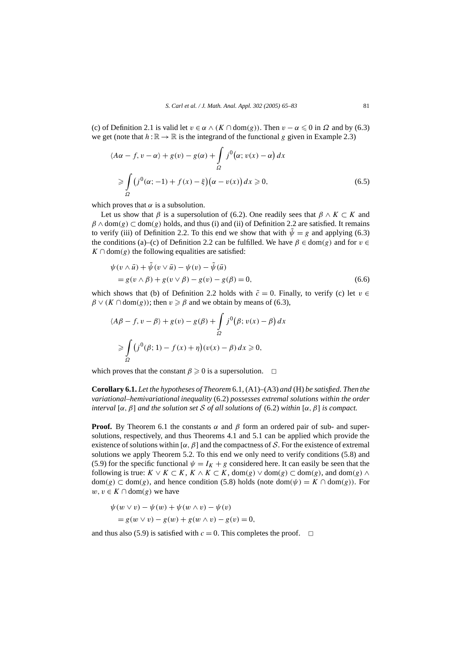(c) of Definition 2.1 is valid let  $v \in \alpha \land (K \cap \text{dom}(g))$ . Then  $v - \alpha \leq 0$  in  $\Omega$  and by (6.3) we get (note that  $h : \mathbb{R} \to \mathbb{R}$  is the integrand of the functional *g* given in Example 2.3)

$$
\langle A\alpha - f, v - \alpha \rangle + g(v) - g(\alpha) + \int_{\Omega} j^{0}(\alpha; v(x) - \alpha) dx
$$
  

$$
\geq \int_{\Omega} (j^{0}(\alpha; -1) + f(x) - \xi)(\alpha - v(x)) dx \geq 0,
$$
 (6.5)

which proves that  $\alpha$  is a subsolution.

Let us show that *β* is a supersolution of (6.2). One readily sees that  $\beta \wedge K \subset K$  and  $\beta \wedge \text{dom}(g) \subset \text{dom}(g)$  holds, and thus (i) and (ii) of Definition 2.2 are satisfied. It remains to verify (iii) of Definition 2.2. To this end we show that with  $\tilde{\psi} = g$  and applying (6.3) the conditions (a)–(c) of Definition 2.2 can be fulfilled. We have  $\beta \in \text{dom}(g)$  and for  $v \in$  $K \cap \text{dom}(g)$  the following equalities are satisfied:

$$
\psi(v \wedge \bar{u}) + \tilde{\psi}(v \vee \bar{u}) - \psi(v) - \tilde{\psi}(\bar{u})
$$
  
=  $g(v \wedge \beta) + g(v \vee \beta) - g(v) - g(\beta) = 0,$  (6.6)

which shows that (b) of Definition 2.2 holds with  $\tilde{c} = 0$ . Finally, to verify (c) let  $v \in$  $\beta \vee (K \cap \text{dom}(g))$ ; then  $v \ge \beta$  and we obtain by means of (6.3),

$$
\langle A\beta - f, v - \beta \rangle + g(v) - g(\beta) + \int_{\Omega} j^0(\beta; v(x) - \beta) dx
$$
  
\n
$$
\geq \int_{\Omega} (j^0(\beta; 1) - f(x) + \eta)(v(x) - \beta) dx \geq 0,
$$

which proves that the constant  $\beta \geq 0$  is a supersolution.  $\Box$ 

**Corollary 6.1.** *Let the hypotheses of Theorem* 6.1*,* (A1)–(A3) *and* (H) *be satisfied. Then the variational–hemivariational inequality* (6.2) *possesses extremal solutions within the order interval* [ $\alpha$ ,  $\beta$ ] *and the solution set* S *of all solutions of* (6.2) *within* [ $\alpha$ ,  $\beta$ ] *is compact.* 

**Proof.** By Theorem 6.1 the constants  $\alpha$  and  $\beta$  form an ordered pair of sub- and supersolutions, respectively, and thus Theorems 4.1 and 5.1 can be applied which provide the existence of solutions within [ $\alpha$ ,  $\beta$ ] and the compactness of S. For the existence of extremal solutions we apply Theorem 5.2. To this end we only need to verify conditions (5.8) and (5.9) for the specific functional  $\psi = I_K + g$  considered here. It can easily be seen that the following is true:  $K \vee K \subset K$ ,  $K \wedge K \subset K$ , dom(g)  $\vee$  dom(g)  $\subset$  dom(g), and dom(g)  $\wedge$ dom(g) ⊂ dom(g), and hence condition (5.8) holds (note dom( $\psi$ ) = *K* ∩ dom(g)). For *w*, *v* ∈ *K* ∩ dom(*g*) we have

$$
\psi(w \lor v) - \psi(w) + \psi(w \land v) - \psi(v)
$$
  
=  $g(w \lor v) - g(w) + g(w \land v) - g(v) = 0$ ,

and thus also (5.9) is satisfied with  $c = 0$ . This completes the proof.  $\Box$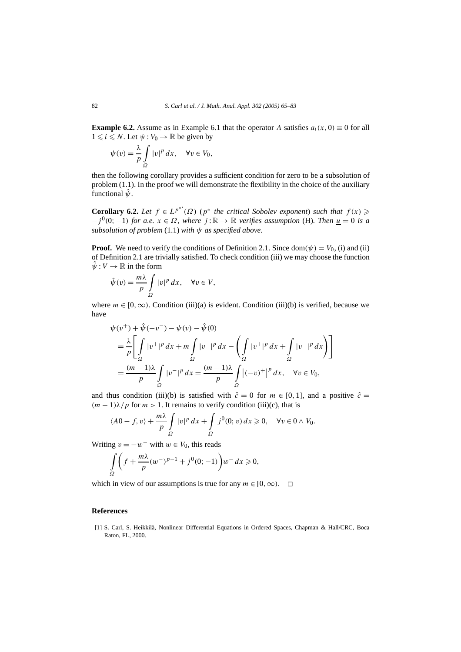**Example 6.2.** Assume as in Example 6.1 that the operator *A* satisfies  $a_i(x, 0) \equiv 0$  for all  $1 \leq i \leq N$ . Let  $\psi : V_0 \to \mathbb{R}$  be given by

$$
\psi(v) = \frac{\lambda}{p} \int_{\Omega} |v|^p \, dx, \quad \forall v \in V_0,
$$

then the following corollary provides a sufficient condition for zero to be a subsolution of problem  $(1.1)$ . In the proof we will demonstrate the flexibility in the choice of the auxiliary functional  $\hat{\psi}$ .

**Corollary 6.2.** *Let*  $f \in L^{p^{*'}}(\Omega)$  ( $p^*$  *the critical Sobolev exponent) such that*  $f(x) \geq$  $-j<sup>0</sup>(0; -1)$  *for a.e.*  $x \in \Omega$ *, where*  $j : \mathbb{R} \to \mathbb{R}$  *verifies assumption* (H)*. Then*  $\underline{u} = 0$  *is a subsolution of problem* (1.1) *with ψ as specified above.*

**Proof.** We need to verify the conditions of Definition 2.1. Since dom $(\psi) = V_0$ , (i) and (ii) of Definition 2.1 are trivially satisfied. To check condition (iii) we may choose the function  $\hat{\psi}: V \to \mathbb{R}$  in the form

$$
\hat{\psi}(v) = \frac{m\lambda}{p} \int_{\Omega} |v|^p dx, \quad \forall v \in V,
$$

where  $m \in [0, \infty)$ . Condition (iii)(a) is evident. Condition (iii)(b) is verified, because we have

$$
\psi(v^+) + \hat{\psi}(-v^-) - \psi(v) - \hat{\psi}(0)
$$
\n
$$
= \frac{\lambda}{p} \left[ \int_{\Omega} |v^+|^p \, dx + m \int_{\Omega} |v^-|^p \, dx - \left( \int_{\Omega} |v^+|^p \, dx + \int_{\Omega} |v^-|^p \, dx \right) \right]
$$
\n
$$
= \frac{(m-1)\lambda}{p} \int_{\Omega} |v^-|^p \, dx = \frac{(m-1)\lambda}{p} \int_{\Omega} |(-v)^+|^p \, dx, \quad \forall v \in V_0,
$$

and thus condition (iii)(b) is satisfied with  $\hat{c} = 0$  for  $m \in [0, 1]$ , and a positive  $\hat{c} =$  $(m - 1)\lambda/p$  for  $m > 1$ . It remains to verify condition (iii)(c), that is

$$
\langle A0 - f, v \rangle + \frac{m\lambda}{p} \int_{\Omega} |v|^p \, dx + \int_{\Omega} j^0(0; v) \, dx \ge 0, \quad \forall v \in 0 \wedge V_0.
$$

Writing  $v = -w^-$  with  $w \in V_0$ , this reads

$$
\int_{\Omega} \left( f + \frac{m\lambda}{p} (w^-)^{p-1} + j^0(0; -1) \right) w^- dx \ge 0,
$$

which in view of our assumptions is true for any  $m \in [0, \infty)$ .  $\Box$ 

#### **References**

[1] S. Carl, S. Heikkilä, Nonlinear Differential Equations in Ordered Spaces, Chapman & Hall/CRC, Boca Raton, FL, 2000.